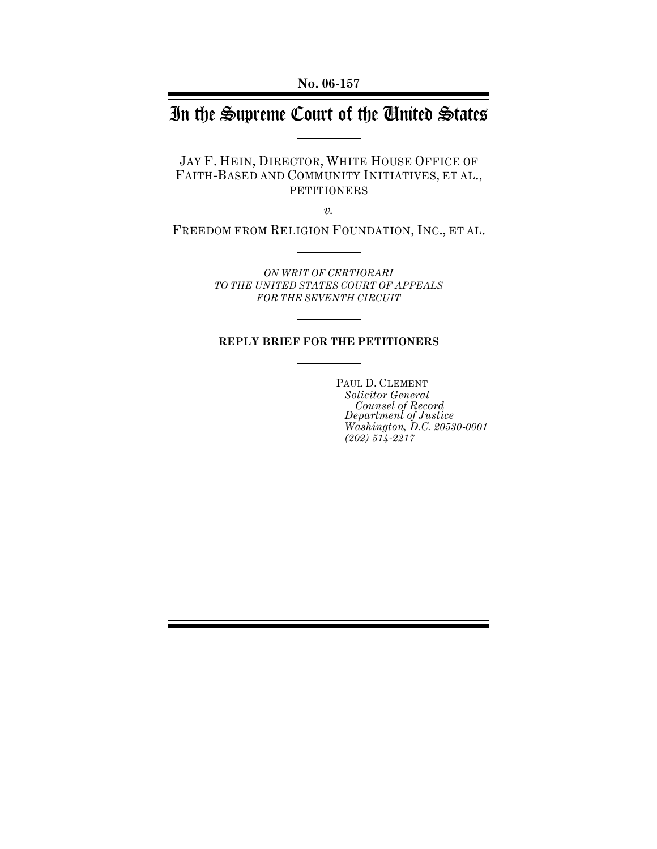# In the Supreme Court of the United States

JAY F. HEIN, DIRECTOR, WHITE HOUSE OFFICE OF FAITH-BASED AND COMMUNITY INITIATIVES, ET AL., PETITIONERS

*v.*

FREEDOM FROM RELIGION FOUNDATION, INC., ET AL.

*ON WRIT OF CERTIORARI TO THE UNITED STATES COURT OF APPEALS FOR THE SEVENTH CIRCUIT*

#### **REPLY BRIEF FOR THE PETITIONERS**

PAUL D. CLEMENT *Solicitor General Counsel of Record Department of Justice Washington, D.C. 20530-0001 (202) 514-2217*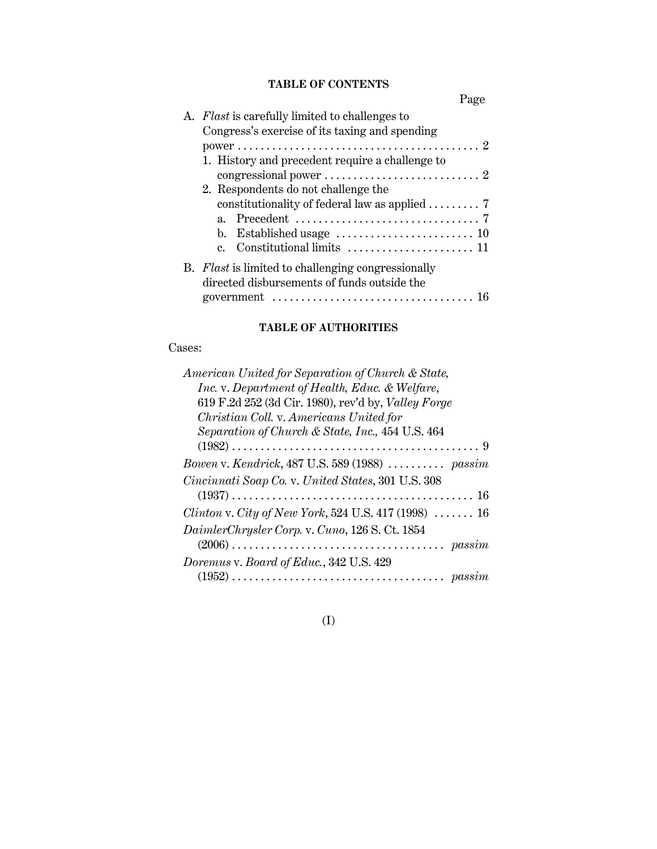## **TABLE OF CONTENTS**

|    |                                                                                                     | Page |
|----|-----------------------------------------------------------------------------------------------------|------|
| А. | <i>Flast</i> is carefully limited to challenges to                                                  |      |
|    | Congress's exercise of its taxing and spending                                                      |      |
|    |                                                                                                     |      |
|    | 1. History and precedent require a challenge to                                                     |      |
|    |                                                                                                     |      |
|    | 2. Respondents do not challenge the                                                                 |      |
|    | constitutionality of federal law as applied  7                                                      |      |
|    |                                                                                                     |      |
|    | b. Established usage $\dots\dots\dots\dots\dots\dots\dots\dots$                                     |      |
|    | c. Constitutional limits $\dots\dots\dots\dots\dots\dots\dots$                                      |      |
|    | B. Flast is limited to challenging congressionally                                                  |      |
|    | directed disbursements of funds outside the                                                         |      |
|    | government $\ldots \ldots \ldots \ldots \ldots \ldots \ldots \ldots \ldots \ldots \ldots \ldots$ 16 |      |

# **TABLE OF AUTHORITIES**

## Cases:

# (I)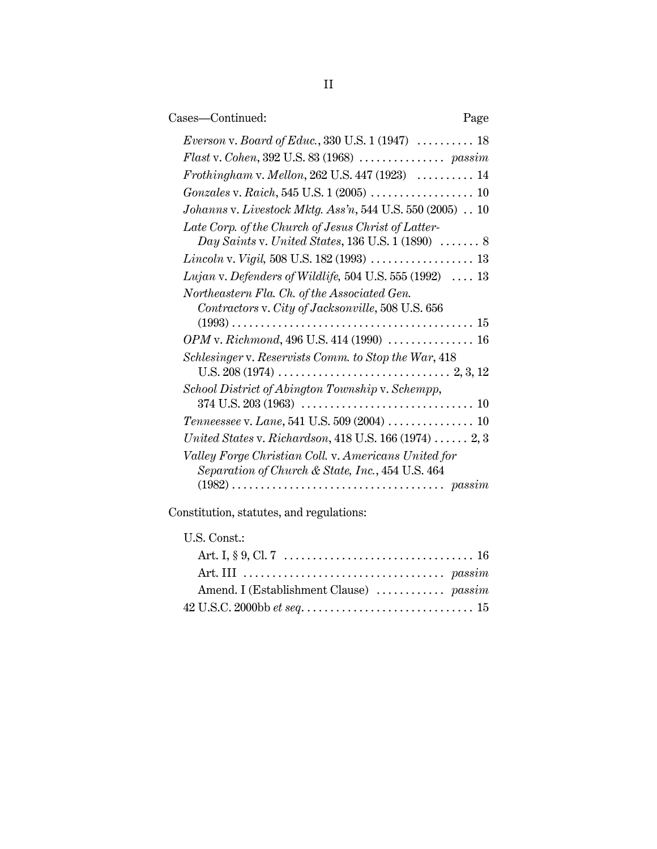| Cases-Continued:                                                                                                                                                                                                                                                                                                                                                                                      | Page |
|-------------------------------------------------------------------------------------------------------------------------------------------------------------------------------------------------------------------------------------------------------------------------------------------------------------------------------------------------------------------------------------------------------|------|
| <i>Everson v. Board of Educ.</i> , 330 U.S. $1(1947)$ 18<br>Frothingham v. Mellon, 262 U.S. 447 (1923)  14<br>Johanns v. Livestock Mktg. Ass'n, 544 U.S. 550 (2005) 10<br>Late Corp. of the Church of Jesus Christ of Latter-<br>Day Saints v. United States, 136 U.S. $1(1890)$ 8<br>Lujan v. Defenders of Wildlife, 504 U.S. 555 (1992) $\ldots$ 13<br>Northeastern Fla. Ch. of the Associated Gen. |      |
| Contractors v. City of Jacksonville, 508 U.S. 656<br>OPM v. Richmond, 496 U.S. 414 (1990)  16<br>Schlesinger v. Reservists Comm. to Stop the War, 418                                                                                                                                                                                                                                                 |      |
| School District of Abington Township v. Schempp,<br>Tenneessee v. Lane, 541 U.S. 509 (2004)  10<br>United States v. Richardson, 418 U.S. $166(1974)$ $2,3$<br>Valley Forge Christian Coll. v. Americans United for<br>Separation of Church & State, Inc., 454 U.S. 464                                                                                                                                |      |
|                                                                                                                                                                                                                                                                                                                                                                                                       |      |

Constitution, statutes, and regulations:

# U.S. Const.:

| Amend. I (Establishment Clause)  passim |  |
|-----------------------------------------|--|
|                                         |  |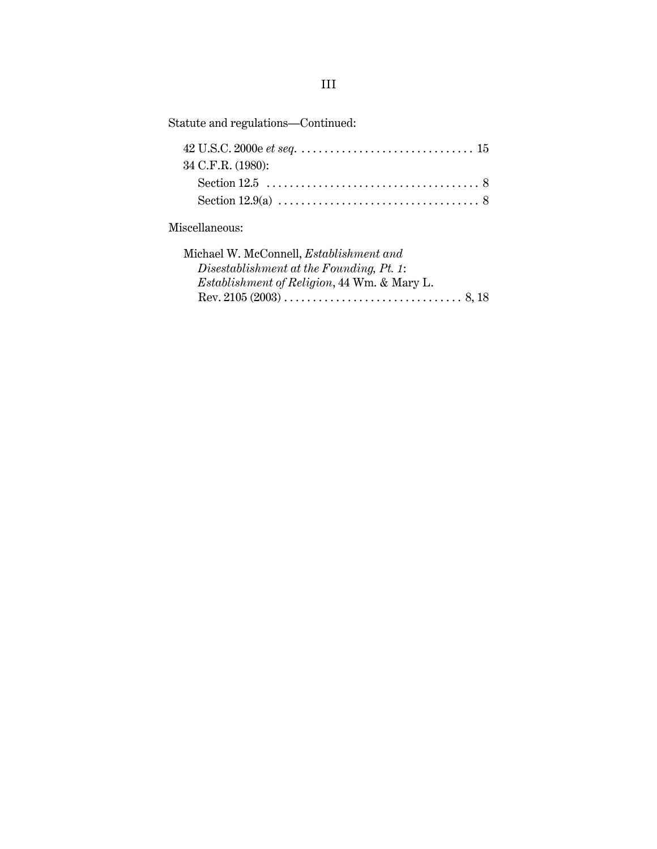| Statute and regulations-Continued:             |
|------------------------------------------------|
| 34 C.F.R. (1980):                              |
|                                                |
|                                                |
| Miscellaneous:                                 |
| Michael W. McConnell, <i>Establishment and</i> |
| Disestablishment at the Founding, Pt. 1:       |
| Establishment of Religion, 44 Wm. & Mary L.    |

Rev. 2105 (2003) . . . . . . . . . . . . . . . . . . . . . . . . . . . . . . . 8, 18

III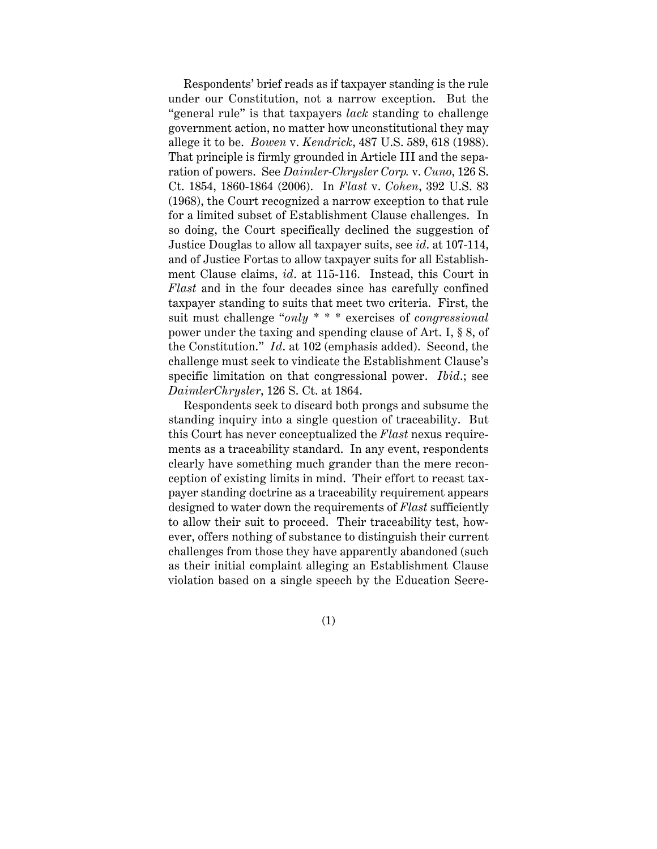Respondents' brief reads as if taxpayer standing is the rule under our Constitution, not a narrow exception. But the "general rule" is that taxpayers *lack* standing to challenge government action, no matter how unconstitutional they may allege it to be. *Bowen* v. *Kendrick*, 487 U.S. 589, 618 (1988). That principle is firmly grounded in Article III and the separation of powers. See *Daimler-Chrysler Corp.* v. *Cuno*, 126 S. Ct. 1854, 1860-1864 (2006). In *Flast* v. *Cohen*, 392 U.S. 83 (1968), the Court recognized a narrow exception to that rule for a limited subset of Establishment Clause challenges. In so doing, the Court specifically declined the suggestion of Justice Douglas to allow all taxpayer suits, see *id*. at 107-114, and of Justice Fortas to allow taxpayer suits for all Establishment Clause claims, *id*. at 115-116. Instead, this Court in *Flast* and in the four decades since has carefully confined taxpayer standing to suits that meet two criteria. First, the suit must challenge "*only* \* \* \* exercises of *congressional* power under the taxing and spending clause of Art. I, § 8, of the Constitution." *Id*. at 102 (emphasis added). Second, the challenge must seek to vindicate the Establishment Clause's specific limitation on that congressional power. *Ibid*.; see *DaimlerChrysler*, 126 S. Ct. at 1864.

Respondents seek to discard both prongs and subsume the standing inquiry into a single question of traceability. But this Court has never conceptualized the *Flast* nexus requirements as a traceability standard. In any event, respondents clearly have something much grander than the mere reconception of existing limits in mind. Their effort to recast taxpayer standing doctrine as a traceability requirement appears designed to water down the requirements of *Flast* sufficiently to allow their suit to proceed. Their traceability test, however, offers nothing of substance to distinguish their current challenges from those they have apparently abandoned (such as their initial complaint alleging an Establishment Clause violation based on a single speech by the Education Secre-

(1)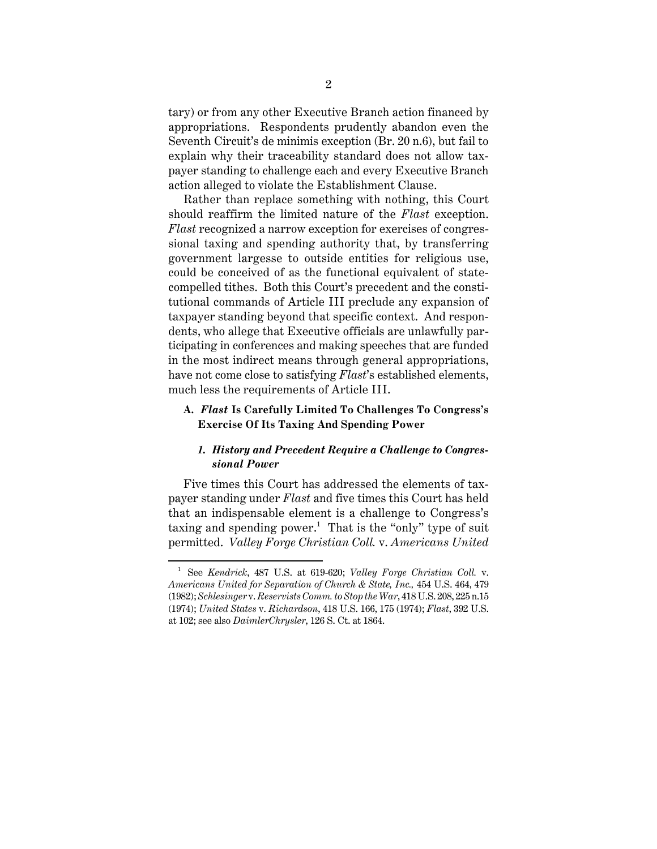tary) or from any other Executive Branch action financed by appropriations. Respondents prudently abandon even the Seventh Circuit's de minimis exception (Br. 20 n.6), but fail to explain why their traceability standard does not allow taxpayer standing to challenge each and every Executive Branch action alleged to violate the Establishment Clause.

Rather than replace something with nothing, this Court should reaffirm the limited nature of the *Flast* exception. *Flast* recognized a narrow exception for exercises of congressional taxing and spending authority that, by transferring government largesse to outside entities for religious use, could be conceived of as the functional equivalent of statecompelled tithes. Both this Court's precedent and the constitutional commands of Article III preclude any expansion of taxpayer standing beyond that specific context. And respondents, who allege that Executive officials are unlawfully participating in conferences and making speeches that are funded in the most indirect means through general appropriations, have not come close to satisfying *Flast*'s established elements, much less the requirements of Article III.

#### **A.** *Flast* **Is Carefully Limited To Challenges To Congress's Exercise Of Its Taxing And Spending Power**

#### *1. History and Precedent Require a Challenge to Congressional Power*

Five times this Court has addressed the elements of taxpayer standing under *Flast* and five times this Court has held that an indispensable element is a challenge to Congress's taxing and spending power.<sup>1</sup> That is the "only" type of suit permitted. *Valley Forge Christian Coll.* v. *Americans United*

<sup>1</sup> See *Kendrick*, 487 U.S. at 619-620; *Valley Forge Christian Coll.* v. *Americans United for Separation of Church & State, Inc.,* 454 U.S. 464, 479 (1982); *Schlesinger* v. *Reservists Comm. to Stop the War*, 418 U.S. 208, 225 n.15 (1974); *United States* v. *Richardson*, 418 U.S. 166, 175 (1974); *Flast*, 392 U.S. at 102; see also *DaimlerChrysler*, 126 S. Ct. at 1864.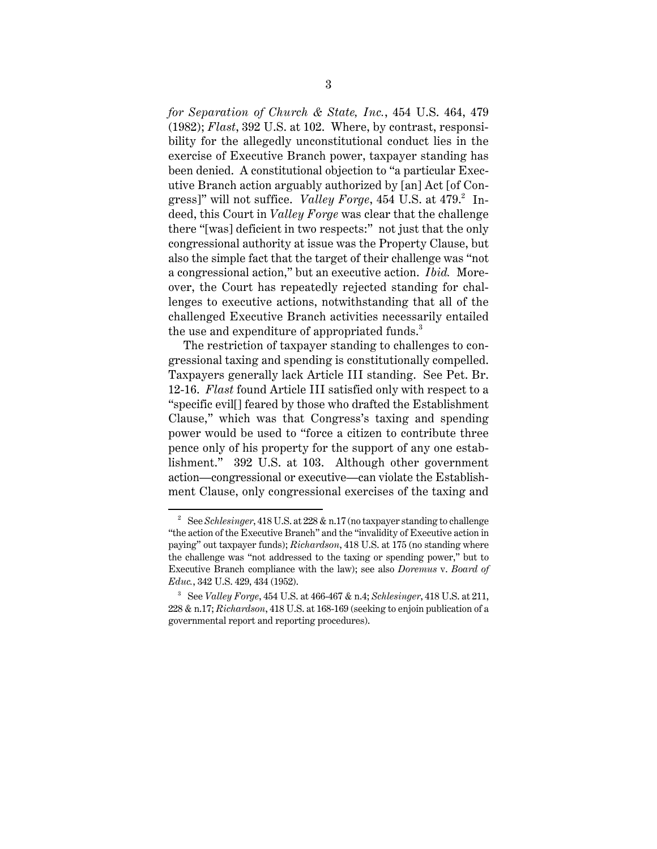*for Separation of Church & State, Inc.*, 454 U.S. 464, 479 (1982); *Flast*, 392 U.S. at 102. Where, by contrast, responsibility for the allegedly unconstitutional conduct lies in the exercise of Executive Branch power, taxpayer standing has been denied. A constitutional objection to "a particular Executive Branch action arguably authorized by [an] Act [of Congress]" will not suffice. *Valley Forge*, 454 U.S. at 479.<sup>2</sup> Indeed, this Court in *Valley Forge* was clear that the challenge there "[was] deficient in two respects:" not just that the only congressional authority at issue was the Property Clause, but also the simple fact that the target of their challenge was "not a congressional action," but an executive action. *Ibid.* Moreover, the Court has repeatedly rejected standing for challenges to executive actions, notwithstanding that all of the challenged Executive Branch activities necessarily entailed the use and expenditure of appropriated funds.<sup>3</sup>

The restriction of taxpayer standing to challenges to congressional taxing and spending is constitutionally compelled. Taxpayers generally lack Article III standing. See Pet. Br. 12-16. *Flast* found Article III satisfied only with respect to a "specific evil[] feared by those who drafted the Establishment Clause," which was that Congress's taxing and spending power would be used to "force a citizen to contribute three pence only of his property for the support of any one establishment." 392 U.S. at 103. Although other government action—congressional or executive—can violate the Establishment Clause, only congressional exercises of the taxing and

<sup>&</sup>lt;sup>2</sup> See *Schlesinger*, 418 U.S. at 228 & n.17 (no taxpayer standing to challenge "the action of the Executive Branch" and the "invalidity of Executive action in paying" out taxpayer funds); *Richardson*, 418 U.S. at 175 (no standing where the challenge was "not addressed to the taxing or spending power," but to Executive Branch compliance with the law); see also *Doremus* v. *Board of Educ.*, 342 U.S. 429, 434 (1952).

<sup>3</sup> See *Valley Forge*, 454 U.S. at 466-467 & n.4; *Schlesinger*, 418 U.S. at 211, 228 & n.17; *Richardson*, 418 U.S. at 168-169 (seeking to enjoin publication of a governmental report and reporting procedures).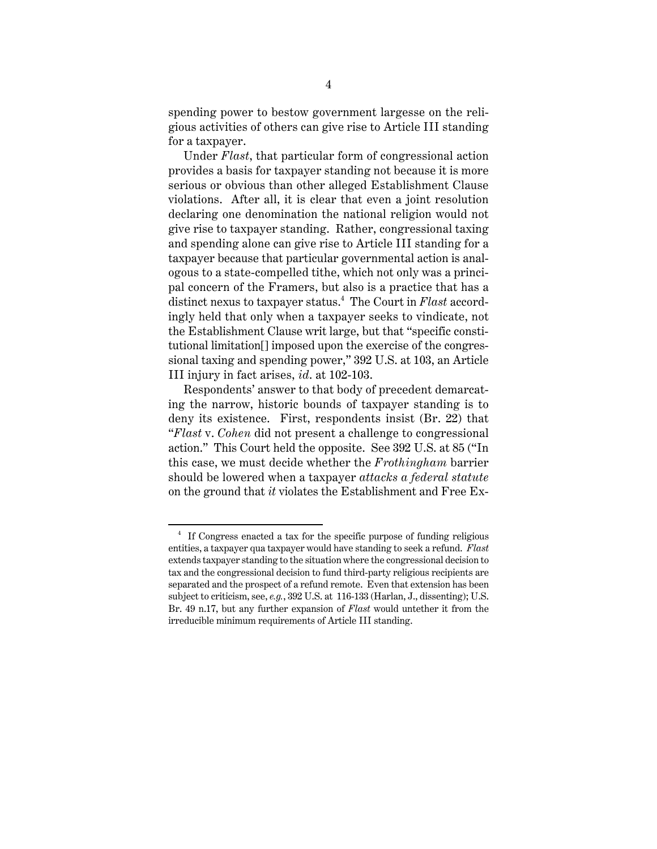spending power to bestow government largesse on the religious activities of others can give rise to Article III standing for a taxpayer.

Under *Flast*, that particular form of congressional action provides a basis for taxpayer standing not because it is more serious or obvious than other alleged Establishment Clause violations. After all, it is clear that even a joint resolution declaring one denomination the national religion would not give rise to taxpayer standing. Rather, congressional taxing and spending alone can give rise to Article III standing for a taxpayer because that particular governmental action is analogous to a state-compelled tithe, which not only was a principal concern of the Framers, but also is a practice that has a distinct nexus to taxpayer status.<sup>4</sup> The Court in *Flast* accordingly held that only when a taxpayer seeks to vindicate, not the Establishment Clause writ large, but that "specific constitutional limitation[] imposed upon the exercise of the congressional taxing and spending power," 392 U.S. at 103, an Article III injury in fact arises, *id*. at 102-103.

Respondents' answer to that body of precedent demarcating the narrow, historic bounds of taxpayer standing is to deny its existence. First, respondents insist (Br. 22) that "*Flast* v. *Cohen* did not present a challenge to congressional action." This Court held the opposite. See 392 U.S. at 85 ("In this case, we must decide whether the *Frothingham* barrier should be lowered when a taxpayer *attacks a federal statute* on the ground that *it* violates the Establishment and Free Ex-

<sup>4</sup> If Congress enacted a tax for the specific purpose of funding religious entities, a taxpayer qua taxpayer would have standing to seek a refund. *Flast* extends taxpayer standing to the situation where the congressional decision to tax and the congressional decision to fund third-party religious recipients are separated and the prospect of a refund remote. Even that extension has been subject to criticism, see, *e.g.*, 392 U.S. at 116-133 (Harlan, J., dissenting); U.S. Br. 49 n.17, but any further expansion of *Flast* would untether it from the irreducible minimum requirements of Article III standing.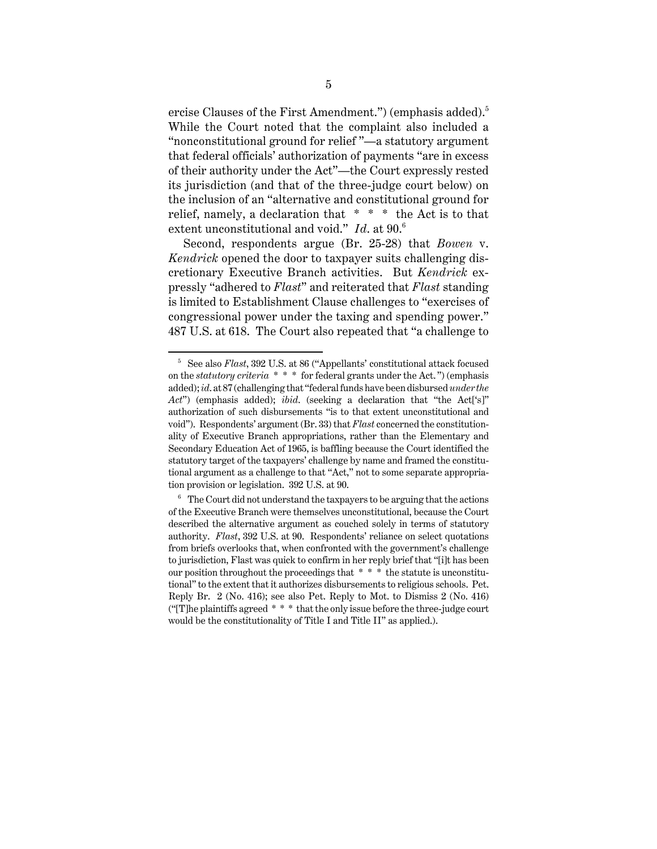ercise Clauses of the First Amendment.") (emphasis added).<sup>5</sup> While the Court noted that the complaint also included a "nonconstitutional ground for relief "—a statutory argument that federal officials' authorization of payments "are in excess of their authority under the Act"—the Court expressly rested its jurisdiction (and that of the three-judge court below) on the inclusion of an "alternative and constitutional ground for relief, namely, a declaration that  $* * *$  the Act is to that extent unconstitutional and void." *Id*. at 90.<sup>6</sup>

Second, respondents argue (Br. 25-28) that *Bowen* v. *Kendrick* opened the door to taxpayer suits challenging discretionary Executive Branch activities. But *Kendrick* expressly "adhered to *Flast*" and reiterated that *Flast* standing is limited to Establishment Clause challenges to "exercises of congressional power under the taxing and spending power." 487 U.S. at 618. The Court also repeated that "a challenge to

<sup>5</sup> See also *Flast*, 392 U.S. at 86 ("Appellants' constitutional attack focused on the *statutory criteria* \* \* \* for federal grants under the Act. ") (emphasis added); *id*. at 87 (challenging that "federal funds have been disbursed *under the Act*") (emphasis added); *ibid*. (seeking a declaration that "the Act['s]" authorization of such disbursements "is to that extent unconstitutional and void"). Respondents' argument (Br. 33) that *Flast* concerned the constitutionality of Executive Branch appropriations, rather than the Elementary and Secondary Education Act of 1965, is baffling because the Court identified the statutory target of the taxpayers' challenge by name and framed the constitutional argument as a challenge to that "Act," not to some separate appropriation provision or legislation. 392 U.S. at 90.

 $6<sup>6</sup>$  The Court did not understand the taxpayers to be arguing that the actions of the Executive Branch were themselves unconstitutional, because the Court described the alternative argument as couched solely in terms of statutory authority. *Flast*, 392 U.S. at 90. Respondents' reliance on select quotations from briefs overlooks that, when confronted with the government's challenge to jurisdiction, Flast was quick to confirm in her reply brief that "[i]t has been our position throughout the proceedings that \* \* \* the statute is unconstitutional" to the extent that it authorizes disbursements to religious schools. Pet. Reply Br. 2 (No. 416); see also Pet. Reply to Mot. to Dismiss 2 (No. 416) (" $T$ ]he plaintiffs agreed  $* * *$  that the only issue before the three-judge court would be the constitutionality of Title I and Title II" as applied.).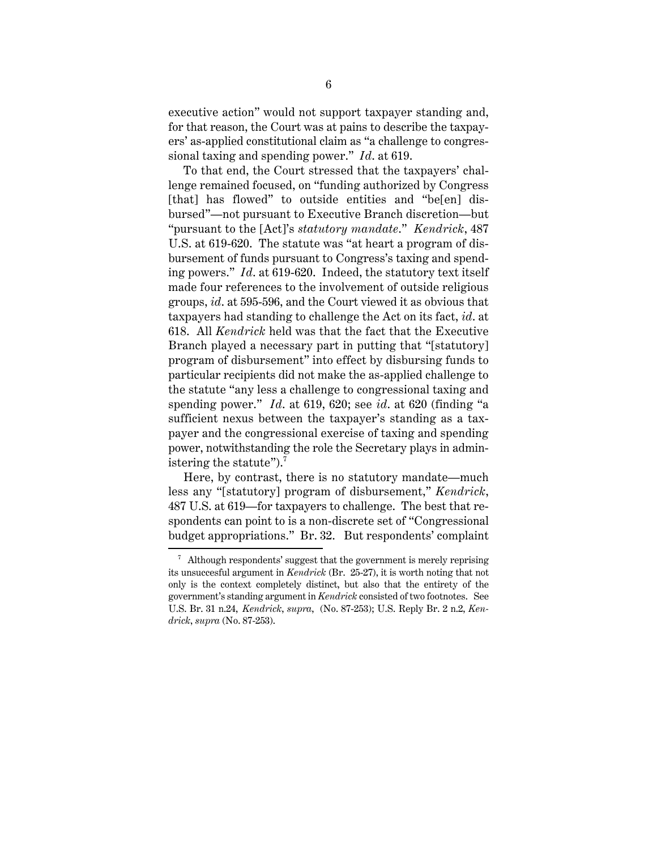executive action" would not support taxpayer standing and, for that reason, the Court was at pains to describe the taxpayers' as-applied constitutional claim as "a challenge to congressional taxing and spending power." *Id*. at 619.

To that end, the Court stressed that the taxpayers' challenge remained focused, on "funding authorized by Congress [that] has flowed" to outside entities and "be[en] disbursed"—not pursuant to Executive Branch discretion—but "pursuant to the [Act]'s *statutory mandate*." *Kendrick*, 487 U.S. at 619-620. The statute was "at heart a program of disbursement of funds pursuant to Congress's taxing and spending powers." *Id*. at 619-620. Indeed, the statutory text itself made four references to the involvement of outside religious groups, *id*. at 595-596, and the Court viewed it as obvious that taxpayers had standing to challenge the Act on its fact, *id*. at 618. All *Kendrick* held was that the fact that the Executive Branch played a necessary part in putting that "[statutory] program of disbursement" into effect by disbursing funds to particular recipients did not make the as-applied challenge to the statute "any less a challenge to congressional taxing and spending power." *Id*. at 619, 620; see *id*. at 620 (finding "a sufficient nexus between the taxpayer's standing as a taxpayer and the congressional exercise of taxing and spending power, notwithstanding the role the Secretary plays in administering the statute").<sup>7</sup>

Here, by contrast, there is no statutory mandate—much less any "[statutory] program of disbursement," *Kendrick*, 487 U.S. at 619—for taxpayers to challenge. The best that respondents can point to is a non-discrete set of "Congressional budget appropriations." Br. 32. But respondents' complaint

 $7$  Although respondents' suggest that the government is merely reprising its unsuccesful argument in *Kendrick* (Br. 25-27), it is worth noting that not only is the context completely distinct, but also that the entirety of the government's standing argument in *Kendrick* consisted of two footnotes. See U.S. Br. 31 n.24, *Kendrick*, *supra*, (No. 87-253); U.S. Reply Br. 2 n.2, *Kendrick*, *supra* (No. 87-253).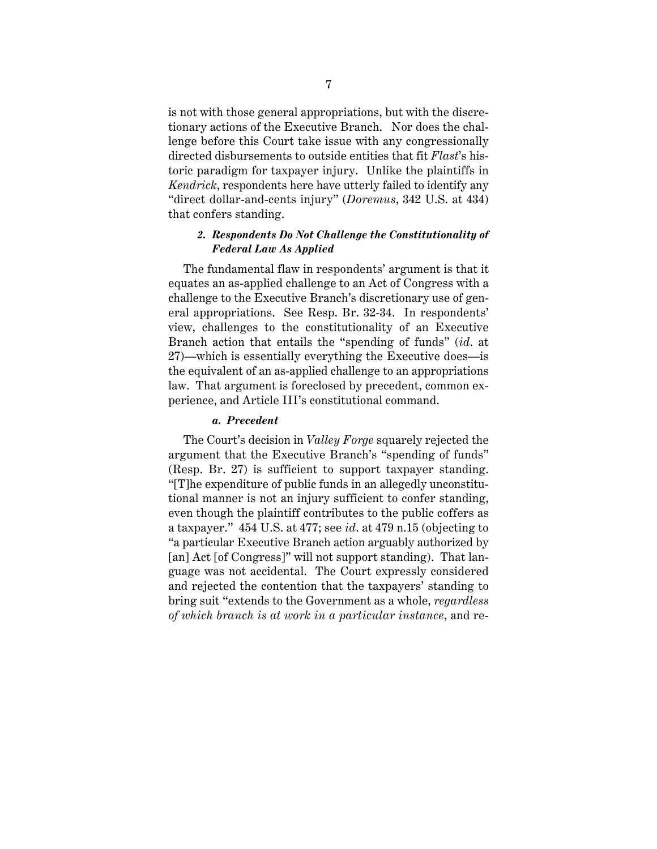is not with those general appropriations, but with the discretionary actions of the Executive Branch. Nor does the challenge before this Court take issue with any congressionally directed disbursements to outside entities that fit *Flast*'s historic paradigm for taxpayer injury. Unlike the plaintiffs in *Kendrick*, respondents here have utterly failed to identify any "direct dollar-and-cents injury" (*Doremus*, 342 U.S. at 434) that confers standing.

### *2. Respondents Do Not Challenge the Constitutionality of Federal Law As Applied*

The fundamental flaw in respondents' argument is that it equates an as-applied challenge to an Act of Congress with a challenge to the Executive Branch's discretionary use of general appropriations. See Resp. Br. 32-34. In respondents' view, challenges to the constitutionality of an Executive Branch action that entails the "spending of funds" (*id*. at 27)—which is essentially everything the Executive does—is the equivalent of an as-applied challenge to an appropriations law. That argument is foreclosed by precedent, common experience, and Article III's constitutional command.

#### *a. Precedent*

The Court's decision in *Valley Forge* squarely rejected the argument that the Executive Branch's "spending of funds" (Resp. Br. 27) is sufficient to support taxpayer standing. "[T]he expenditure of public funds in an allegedly unconstitutional manner is not an injury sufficient to confer standing, even though the plaintiff contributes to the public coffers as a taxpayer." 454 U.S. at 477; see *id*. at 479 n.15 (objecting to "a particular Executive Branch action arguably authorized by [an] Act [of Congress]" will not support standing). That language was not accidental. The Court expressly considered and rejected the contention that the taxpayers' standing to bring suit "extends to the Government as a whole, *regardless of which branch is at work in a particular instance*, and re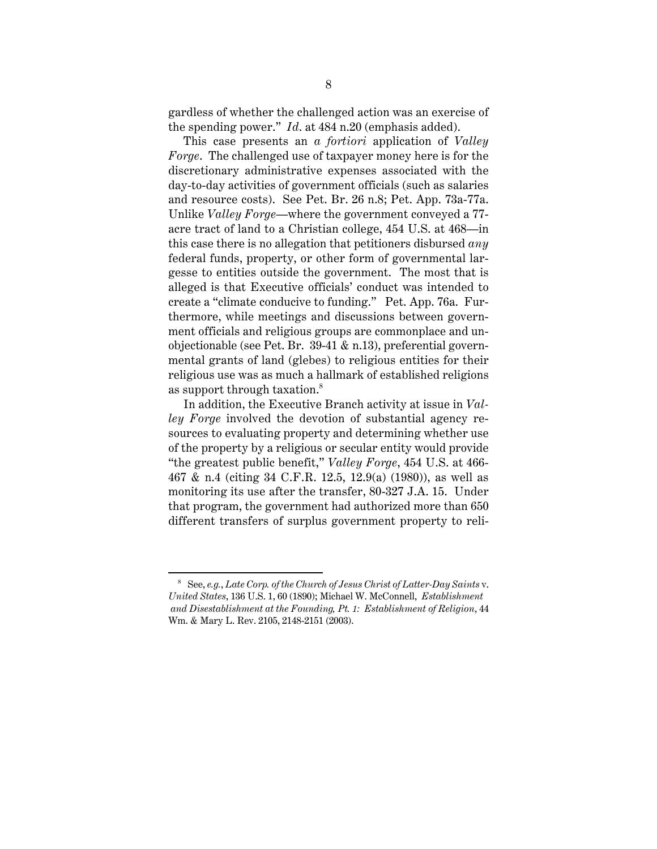gardless of whether the challenged action was an exercise of the spending power." *Id*. at 484 n.20 (emphasis added).

This case presents an *a fortiori* application of *Valley Forge*. The challenged use of taxpayer money here is for the discretionary administrative expenses associated with the day-to-day activities of government officials (such as salaries and resource costs). See Pet. Br. 26 n.8; Pet. App. 73a-77a. Unlike *Valley Forge*—where the government conveyed a 77 acre tract of land to a Christian college, 454 U.S. at 468—in this case there is no allegation that petitioners disbursed *any* federal funds, property, or other form of governmental largesse to entities outside the government. The most that is alleged is that Executive officials' conduct was intended to create a "climate conducive to funding." Pet. App. 76a. Furthermore, while meetings and discussions between government officials and religious groups are commonplace and unobjectionable (see Pet. Br. 39-41 & n.13), preferential governmental grants of land (glebes) to religious entities for their religious use was as much a hallmark of established religions as support through taxation.<sup>8</sup>

In addition, the Executive Branch activity at issue in *Valley Forge* involved the devotion of substantial agency resources to evaluating property and determining whether use of the property by a religious or secular entity would provide "the greatest public benefit," *Valley Forge*, 454 U.S. at 466- 467 & n.4 (citing 34 C.F.R. 12.5, 12.9(a) (1980)), as well as monitoring its use after the transfer, 80-327 J.A. 15. Under that program, the government had authorized more than 650 different transfers of surplus government property to reli-

<sup>8</sup> See, *e.g.*, *Late Corp. of the Church of Jesus Christ of Latter-Day Saints* v. *United States*, 136 U.S. 1, 60 (1890); Michael W. McConnell, *Establishment and Disestablishment at the Founding, Pt. 1: Establishment of Religion*, 44 Wm. & Mary L. Rev. 2105, 2148-2151 (2003).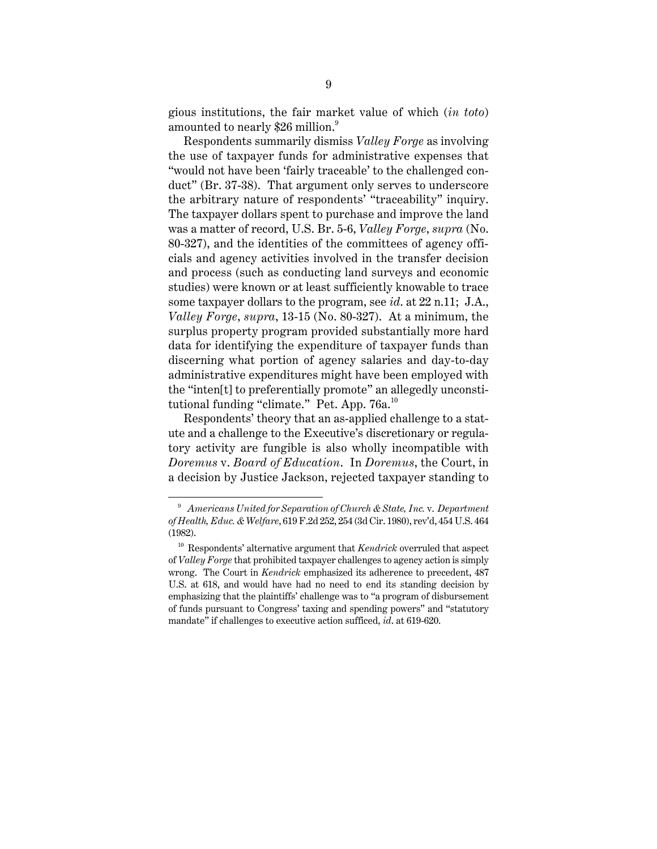gious institutions, the fair market value of which (*in toto*) amounted to nearly \$26 million.<sup>9</sup>

Respondents summarily dismiss *Valley Forge* as involving the use of taxpayer funds for administrative expenses that "would not have been 'fairly traceable' to the challenged conduct" (Br. 37-38). That argument only serves to underscore the arbitrary nature of respondents' "traceability" inquiry. The taxpayer dollars spent to purchase and improve the land was a matter of record, U.S. Br. 5-6, *Valley Forge*, *supra* (No. 80-327), and the identities of the committees of agency officials and agency activities involved in the transfer decision and process (such as conducting land surveys and economic studies) were known or at least sufficiently knowable to trace some taxpayer dollars to the program, see *id*. at 22 n.11; J.A., *Valley Forge*, *supra*, 13-15 (No. 80-327). At a minimum, the surplus property program provided substantially more hard data for identifying the expenditure of taxpayer funds than discerning what portion of agency salaries and day-to-day administrative expenditures might have been employed with the "inten[t] to preferentially promote" an allegedly unconstitutional funding "climate." Pet. App.  $76a$ <sup>10</sup>

Respondents' theory that an as-applied challenge to a statute and a challenge to the Executive's discretionary or regulatory activity are fungible is also wholly incompatible with *Doremus* v. *Board of Education*. In *Doremus*, the Court, in a decision by Justice Jackson, rejected taxpayer standing to

<sup>9</sup> *Americans United for Separation of Church & State, Inc.* v. *Department of Health, Educ. & Welfare*, 619 F.2d 252, 254 (3d Cir. 1980), rev'd, 454 U.S. 464 (1982).

<sup>10</sup> Respondents' alternative argument that *Kendrick* overruled that aspect of *Valley Forge* that prohibited taxpayer challenges to agency action is simply wrong. The Court in *Kendrick* emphasized its adherence to precedent, 487 U.S. at 618, and would have had no need to end its standing decision by emphasizing that the plaintiffs' challenge was to "a program of disbursement of funds pursuant to Congress' taxing and spending powers" and "statutory mandate" if challenges to executive action sufficed, *id*. at 619-620.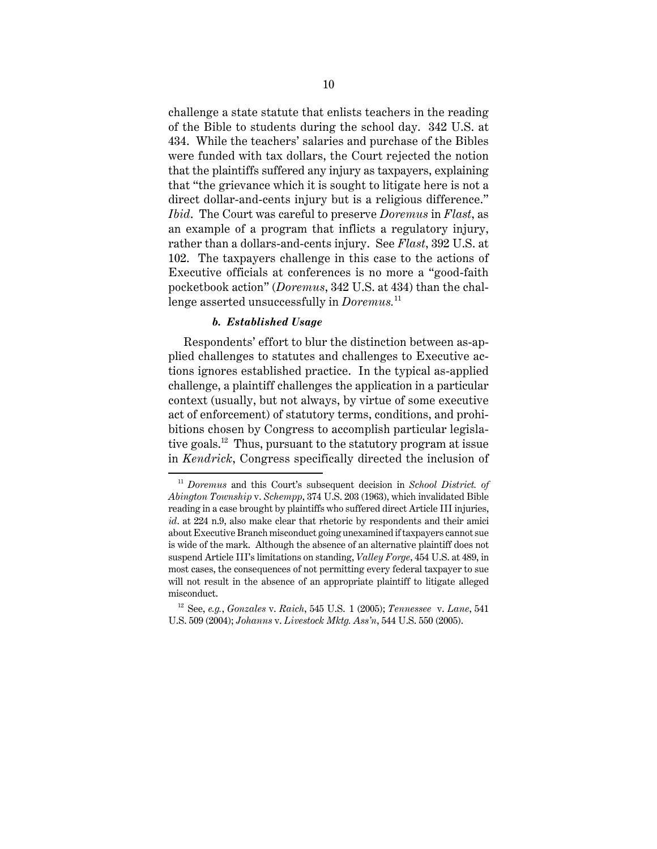challenge a state statute that enlists teachers in the reading of the Bible to students during the school day. 342 U.S. at 434. While the teachers' salaries and purchase of the Bibles were funded with tax dollars, the Court rejected the notion that the plaintiffs suffered any injury as taxpayers, explaining that "the grievance which it is sought to litigate here is not a direct dollar-and-cents injury but is a religious difference." *Ibid*. The Court was careful to preserve *Doremus* in *Flast*, as an example of a program that inflicts a regulatory injury, rather than a dollars-and-cents injury. See *Flast*, 392 U.S. at 102. The taxpayers challenge in this case to the actions of Executive officials at conferences is no more a "good-faith pocketbook action" (*Doremus*, 342 U.S. at 434) than the challenge asserted unsuccessfully in *Doremus.*<sup>11</sup>

#### *b. Established Usage*

Respondents' effort to blur the distinction between as-applied challenges to statutes and challenges to Executive actions ignores established practice. In the typical as-applied challenge, a plaintiff challenges the application in a particular context (usually, but not always, by virtue of some executive act of enforcement) of statutory terms, conditions, and prohibitions chosen by Congress to accomplish particular legislative goals.<sup>12</sup> Thus, pursuant to the statutory program at issue in *Kendrick*, Congress specifically directed the inclusion of

<sup>11</sup> *Doremus* and this Court's subsequent decision in *School District. of Abington Township* v. *Schempp*, 374 U.S. 203 (1963), which invalidated Bible reading in a case brought by plaintiffs who suffered direct Article III injuries, *id*. at 224 n.9, also make clear that rhetoric by respondents and their amici about Executive Branch misconduct going unexamined if taxpayers cannot sue is wide of the mark. Although the absence of an alternative plaintiff does not suspend Article III's limitations on standing, *Valley Forge*, 454 U.S. at 489, in most cases, the consequences of not permitting every federal taxpayer to sue will not result in the absence of an appropriate plaintiff to litigate alleged misconduct.

<sup>12</sup> See, *e.g.*, *Gonzales* v. *Raich*, 545 U.S. 1 (2005); *Tennessee* v. *Lane*, 541 U.S. 509 (2004); *Johanns* v. *Livestock Mktg. Ass'n*, 544 U.S. 550 (2005).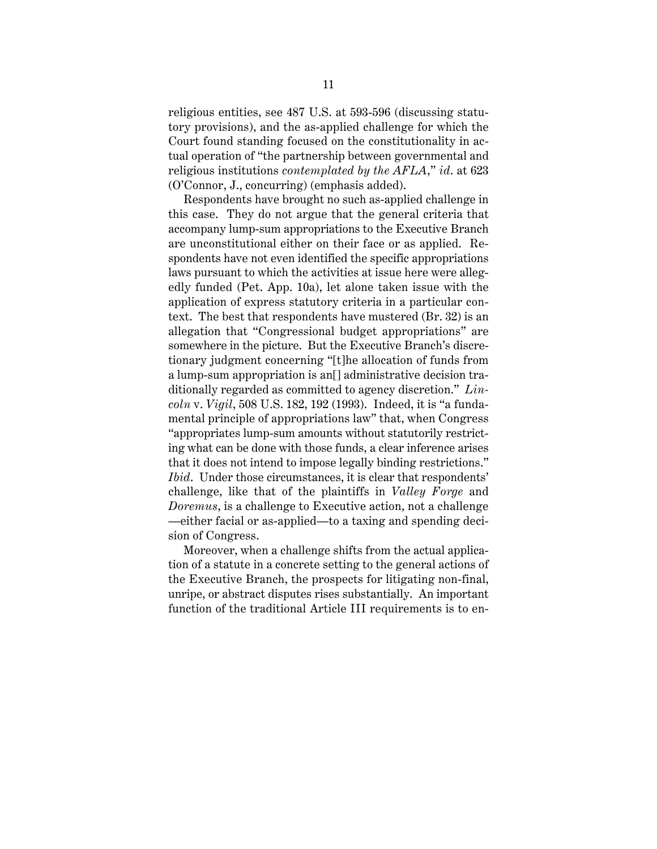religious entities, see 487 U.S. at 593-596 (discussing statutory provisions), and the as-applied challenge for which the Court found standing focused on the constitutionality in actual operation of "the partnership between governmental and religious institutions *contemplated by the AFLA*," *id*. at 623 (O'Connor, J., concurring) (emphasis added).

Respondents have brought no such as-applied challenge in this case. They do not argue that the general criteria that accompany lump-sum appropriations to the Executive Branch are unconstitutional either on their face or as applied. Respondents have not even identified the specific appropriations laws pursuant to which the activities at issue here were allegedly funded (Pet. App. 10a), let alone taken issue with the application of express statutory criteria in a particular context. The best that respondents have mustered (Br. 32) is an allegation that "Congressional budget appropriations" are somewhere in the picture. But the Executive Branch's discretionary judgment concerning "[t]he allocation of funds from a lump-sum appropriation is an[] administrative decision traditionally regarded as committed to agency discretion." *Lincoln* v. *Vigil*, 508 U.S. 182, 192 (1993). Indeed, it is "a fundamental principle of appropriations law" that, when Congress "appropriates lump-sum amounts without statutorily restricting what can be done with those funds, a clear inference arises that it does not intend to impose legally binding restrictions." *Ibid*. Under those circumstances, it is clear that respondents' challenge, like that of the plaintiffs in *Valley Forge* and *Doremus*, is a challenge to Executive action, not a challenge —either facial or as-applied—to a taxing and spending decision of Congress.

Moreover, when a challenge shifts from the actual application of a statute in a concrete setting to the general actions of the Executive Branch, the prospects for litigating non-final, unripe, or abstract disputes rises substantially. An important function of the traditional Article III requirements is to en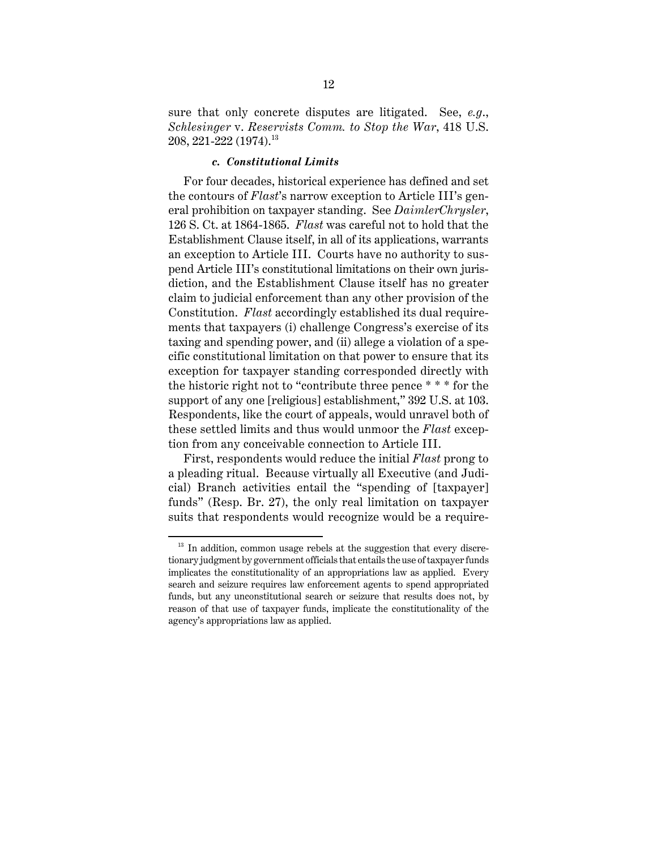sure that only concrete disputes are litigated. See, *e.g*., *Schlesinger* v. *Reservists Comm. to Stop the War*, 418 U.S. 208, 221-222 (1974).<sup>13</sup>

#### *c. Constitutional Limits*

For four decades, historical experience has defined and set the contours of *Flast*'s narrow exception to Article III's general prohibition on taxpayer standing. See *DaimlerChrysler*, 126 S. Ct. at 1864-1865. *Flast* was careful not to hold that the Establishment Clause itself, in all of its applications, warrants an exception to Article III. Courts have no authority to suspend Article III's constitutional limitations on their own jurisdiction, and the Establishment Clause itself has no greater claim to judicial enforcement than any other provision of the Constitution. *Flast* accordingly established its dual requirements that taxpayers (i) challenge Congress's exercise of its taxing and spending power, and (ii) allege a violation of a specific constitutional limitation on that power to ensure that its exception for taxpayer standing corresponded directly with the historic right not to "contribute three pence \* \* \* for the support of any one [religious] establishment," 392 U.S. at 103. Respondents, like the court of appeals, would unravel both of these settled limits and thus would unmoor the *Flast* exception from any conceivable connection to Article III.

First, respondents would reduce the initial *Flast* prong to a pleading ritual. Because virtually all Executive (and Judicial) Branch activities entail the "spending of [taxpayer] funds" (Resp. Br. 27), the only real limitation on taxpayer suits that respondents would recognize would be a require-

 $13$  In addition, common usage rebels at the suggestion that every discretionary judgment by government officials that entails the use of taxpayer funds implicates the constitutionality of an appropriations law as applied. Every search and seizure requires law enforcement agents to spend appropriated funds, but any unconstitutional search or seizure that results does not, by reason of that use of taxpayer funds, implicate the constitutionality of the agency's appropriations law as applied.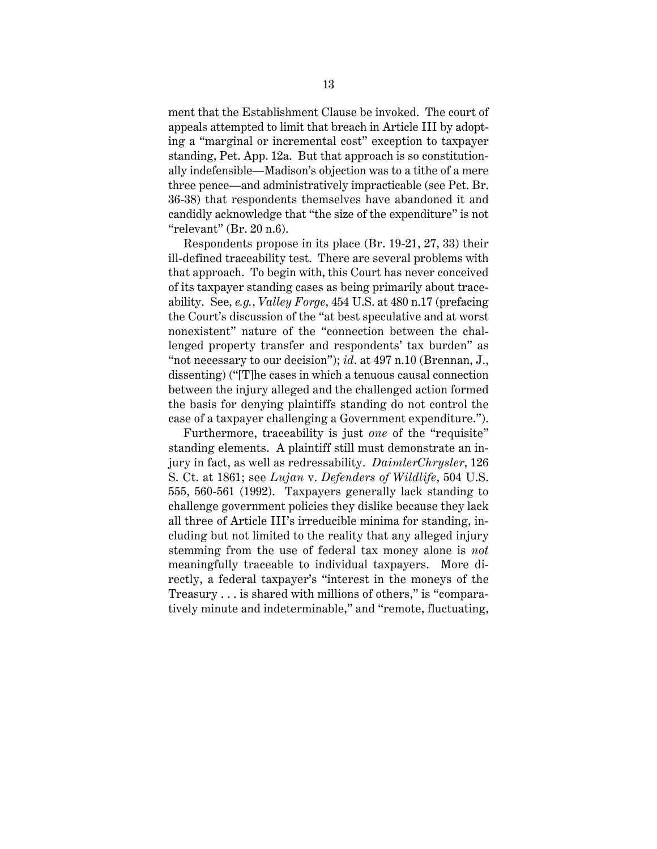ment that the Establishment Clause be invoked. The court of appeals attempted to limit that breach in Article III by adopting a "marginal or incremental cost" exception to taxpayer standing, Pet. App. 12a. But that approach is so constitutionally indefensible—Madison's objection was to a tithe of a mere three pence—and administratively impracticable (see Pet. Br. 36-38) that respondents themselves have abandoned it and candidly acknowledge that "the size of the expenditure" is not "relevant" (Br. 20 n.6).

Respondents propose in its place (Br. 19-21, 27, 33) their ill-defined traceability test. There are several problems with that approach. To begin with, this Court has never conceived of its taxpayer standing cases as being primarily about traceability. See, *e.g.*, *Valley Forge*, 454 U.S. at 480 n.17 (prefacing the Court's discussion of the "at best speculative and at worst nonexistent" nature of the "connection between the challenged property transfer and respondents' tax burden" as "not necessary to our decision"); *id*. at 497 n.10 (Brennan, J., dissenting) ("[T]he cases in which a tenuous causal connection between the injury alleged and the challenged action formed the basis for denying plaintiffs standing do not control the case of a taxpayer challenging a Government expenditure.").

Furthermore, traceability is just *one* of the "requisite" standing elements. A plaintiff still must demonstrate an injury in fact, as well as redressability. *DaimlerChrysler*, 126 S. Ct. at 1861; see *Lujan* v. *Defenders of Wildlife*, 504 U.S. 555, 560-561 (1992). Taxpayers generally lack standing to challenge government policies they dislike because they lack all three of Article III's irreducible minima for standing, including but not limited to the reality that any alleged injury stemming from the use of federal tax money alone is *not* meaningfully traceable to individual taxpayers. More directly, a federal taxpayer's "interest in the moneys of the Treasury . . . is shared with millions of others," is "comparatively minute and indeterminable," and "remote, fluctuating,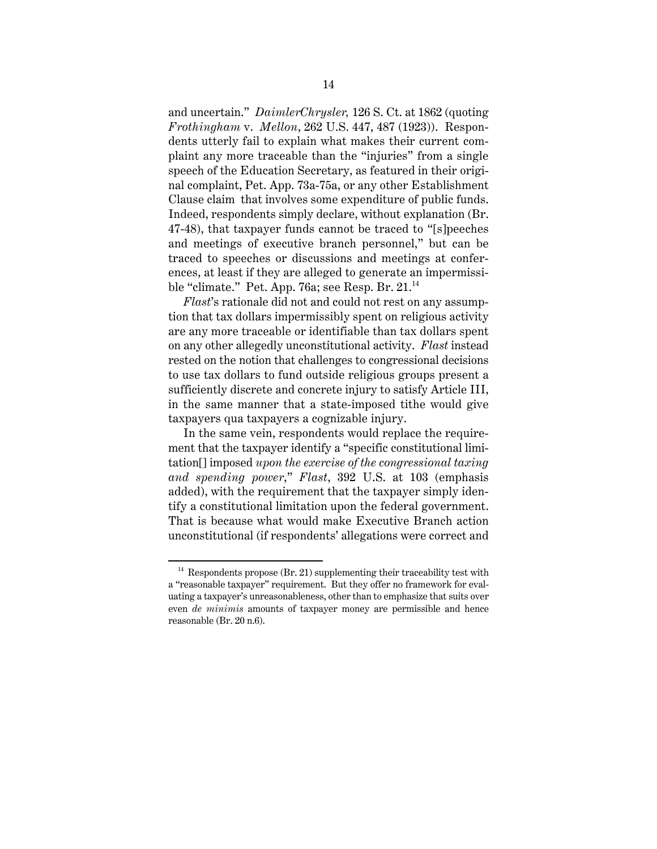and uncertain." *DaimlerChrysler,* 126 S. Ct. at 1862 (quoting *Frothingham* v. *Mellon*, 262 U.S. 447, 487 (1923)). Respondents utterly fail to explain what makes their current complaint any more traceable than the "injuries" from a single speech of the Education Secretary, as featured in their original complaint, Pet. App. 73a-75a, or any other Establishment Clause claim that involves some expenditure of public funds. Indeed, respondents simply declare, without explanation (Br. 47-48), that taxpayer funds cannot be traced to "[s]peeches and meetings of executive branch personnel," but can be traced to speeches or discussions and meetings at conferences, at least if they are alleged to generate an impermissible "climate." Pet. App. 76a; see Resp. Br.  $21.^{14}$ 

*Flast*'s rationale did not and could not rest on any assumption that tax dollars impermissibly spent on religious activity are any more traceable or identifiable than tax dollars spent on any other allegedly unconstitutional activity. *Flast* instead rested on the notion that challenges to congressional decisions to use tax dollars to fund outside religious groups present a sufficiently discrete and concrete injury to satisfy Article III, in the same manner that a state-imposed tithe would give taxpayers qua taxpayers a cognizable injury.

In the same vein, respondents would replace the requirement that the taxpayer identify a "specific constitutional limitation[] imposed *upon the exercise of the congressional taxing and spending power*," *Flast*, 392 U.S. at 103 (emphasis added), with the requirement that the taxpayer simply identify a constitutional limitation upon the federal government. That is because what would make Executive Branch action unconstitutional (if respondents' allegations were correct and

 $14$  Respondents propose (Br. 21) supplementing their traceability test with a "reasonable taxpayer" requirement. But they offer no framework for evaluating a taxpayer's unreasonableness, other than to emphasize that suits over even *de minimis* amounts of taxpayer money are permissible and hence reasonable (Br. 20 n.6).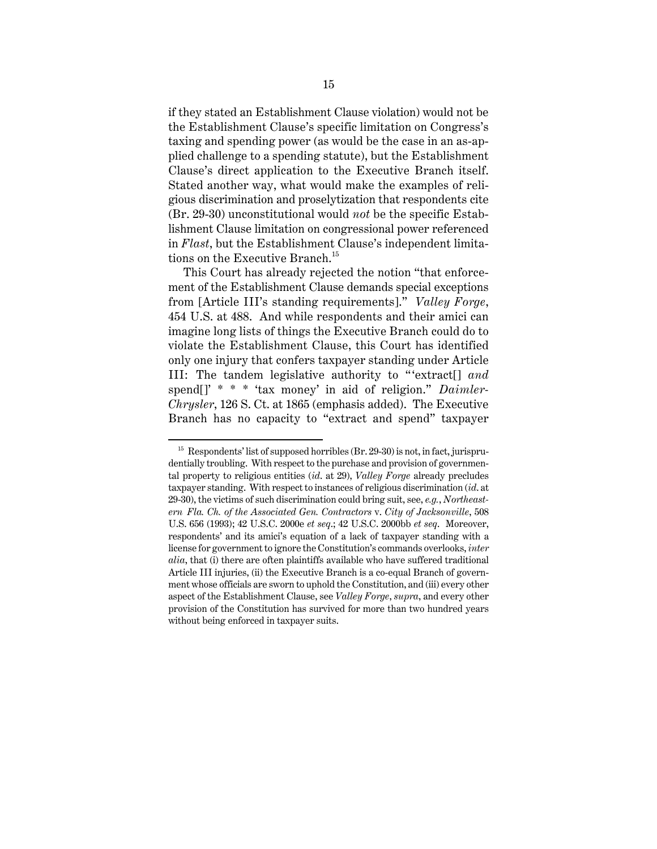if they stated an Establishment Clause violation) would not be the Establishment Clause's specific limitation on Congress's taxing and spending power (as would be the case in an as-applied challenge to a spending statute), but the Establishment Clause's direct application to the Executive Branch itself. Stated another way, what would make the examples of religious discrimination and proselytization that respondents cite (Br. 29-30) unconstitutional would *not* be the specific Establishment Clause limitation on congressional power referenced in *Flast*, but the Establishment Clause's independent limitations on the Executive Branch.<sup>15</sup>

This Court has already rejected the notion "that enforcement of the Establishment Clause demands special exceptions from [Article III's standing requirements]." *Valley Forge*, 454 U.S. at 488. And while respondents and their amici can imagine long lists of things the Executive Branch could do to violate the Establishment Clause, this Court has identified only one injury that confers taxpayer standing under Article III: The tandem legislative authority to "'extract[] *and* spend[]' \* \* \* 'tax money' in aid of religion." *Daimler-Chrysler*, 126 S. Ct. at 1865 (emphasis added). The Executive Branch has no capacity to "extract and spend" taxpayer

 $15$  Respondents' list of supposed horribles (Br. 29-30) is not, in fact, jurisprudentially troubling. With respect to the purchase and provision of governmental property to religious entities (*id*. at 29), *Valley Forge* already precludes taxpayer standing. With respect to instances of religious discrimination (*id*. at 29-30), the victims of such discrimination could bring suit, see, *e.g.*, *Northeastern Fla. Ch. of the Associated Gen. Contractors* v. *City of Jacksonville*, 508 U.S. 656 (1993); 42 U.S.C. 2000e *et seq*.; 42 U.S.C. 2000bb *et seq*. Moreover, respondents' and its amici's equation of a lack of taxpayer standing with a license for government to ignore the Constitution's commands overlooks, *inter alia*, that (i) there are often plaintiffs available who have suffered traditional Article III injuries, (ii) the Executive Branch is a co-equal Branch of government whose officials are sworn to uphold the Constitution, and (iii) every other aspect of the Establishment Clause, see *Valley Forge*, *supra*, and every other provision of the Constitution has survived for more than two hundred years without being enforced in taxpayer suits.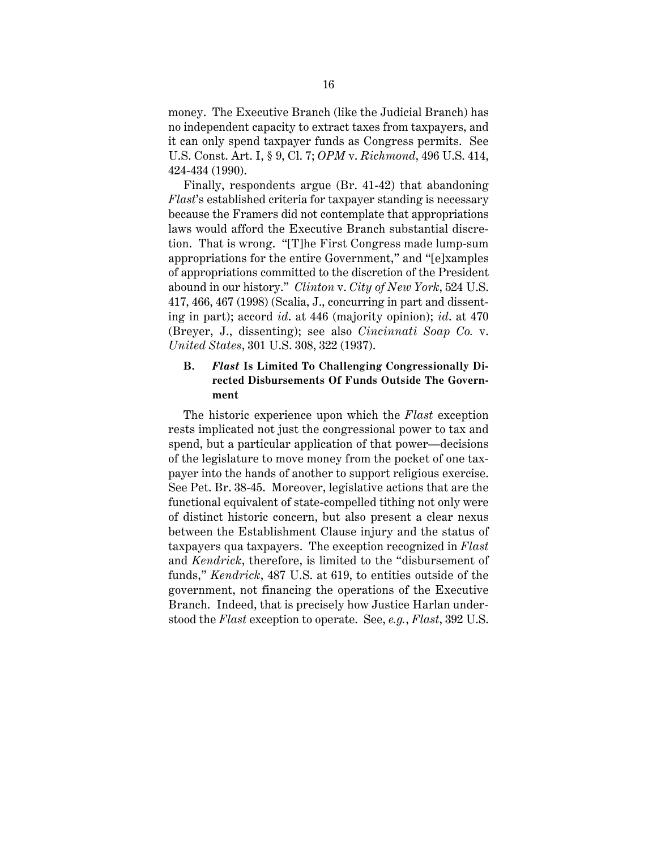money. The Executive Branch (like the Judicial Branch) has no independent capacity to extract taxes from taxpayers, and it can only spend taxpayer funds as Congress permits. See U.S. Const. Art. I, § 9, Cl. 7; *OPM* v. *Richmond*, 496 U.S. 414, 424-434 (1990).

Finally, respondents argue (Br. 41-42) that abandoning *Flast*'s established criteria for taxpayer standing is necessary because the Framers did not contemplate that appropriations laws would afford the Executive Branch substantial discretion. That is wrong. "[T]he First Congress made lump-sum appropriations for the entire Government," and "[e]xamples of appropriations committed to the discretion of the President abound in our history." *Clinton* v. *City of New York*, 524 U.S. 417, 466, 467 (1998) (Scalia, J., concurring in part and dissenting in part); accord *id*. at 446 (majority opinion); *id*. at 470 (Breyer, J., dissenting); see also *Cincinnati Soap Co.* v. *United States*, 301 U.S. 308, 322 (1937).

## **B.** *Flast* **Is Limited To Challenging Congressionally Directed Disbursements Of Funds Outside The Government**

The historic experience upon which the *Flast* exception rests implicated not just the congressional power to tax and spend, but a particular application of that power—decisions of the legislature to move money from the pocket of one taxpayer into the hands of another to support religious exercise. See Pet. Br. 38-45. Moreover, legislative actions that are the functional equivalent of state-compelled tithing not only were of distinct historic concern, but also present a clear nexus between the Establishment Clause injury and the status of taxpayers qua taxpayers. The exception recognized in *Flast* and *Kendrick*, therefore, is limited to the "disbursement of funds," *Kendrick*, 487 U.S. at 619, to entities outside of the government, not financing the operations of the Executive Branch. Indeed, that is precisely how Justice Harlan understood the *Flast* exception to operate. See, *e.g.*, *Flast*, 392 U.S.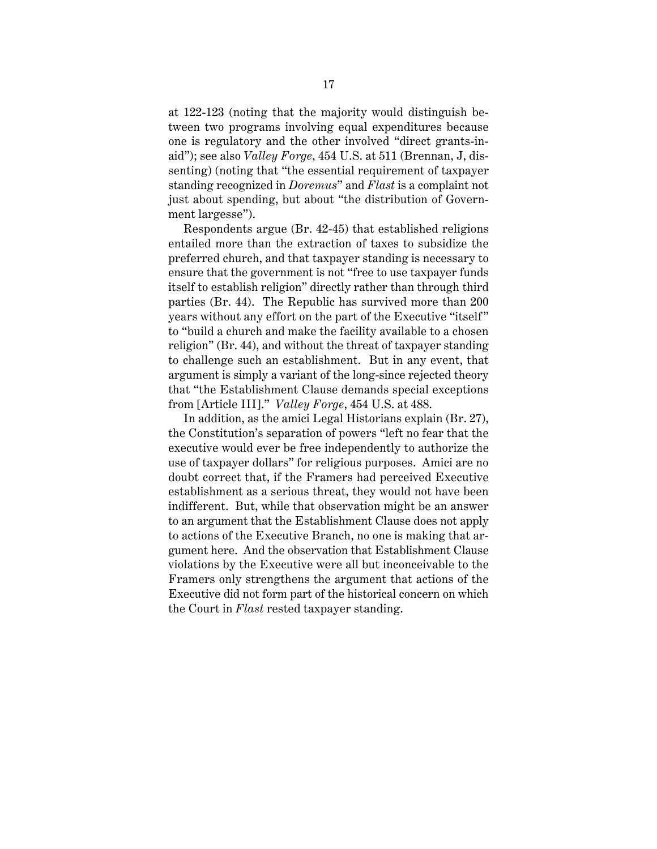at 122-123 (noting that the majority would distinguish between two programs involving equal expenditures because one is regulatory and the other involved "direct grants-inaid"); see also *Valley Forge*, 454 U.S. at 511 (Brennan, J, dissenting) (noting that "the essential requirement of taxpayer standing recognized in *Doremus*" and *Flast* is a complaint not just about spending, but about "the distribution of Government largesse").

Respondents argue (Br. 42-45) that established religions entailed more than the extraction of taxes to subsidize the preferred church, and that taxpayer standing is necessary to ensure that the government is not "free to use taxpayer funds itself to establish religion" directly rather than through third parties (Br. 44). The Republic has survived more than 200 years without any effort on the part of the Executive "itself" to "build a church and make the facility available to a chosen religion" (Br. 44), and without the threat of taxpayer standing to challenge such an establishment. But in any event, that argument is simply a variant of the long-since rejected theory that "the Establishment Clause demands special exceptions from [Article III]." *Valley Forge*, 454 U.S. at 488.

In addition, as the amici Legal Historians explain (Br. 27), the Constitution's separation of powers "left no fear that the executive would ever be free independently to authorize the use of taxpayer dollars" for religious purposes. Amici are no doubt correct that, if the Framers had perceived Executive establishment as a serious threat, they would not have been indifferent. But, while that observation might be an answer to an argument that the Establishment Clause does not apply to actions of the Executive Branch, no one is making that argument here. And the observation that Establishment Clause violations by the Executive were all but inconceivable to the Framers only strengthens the argument that actions of the Executive did not form part of the historical concern on which the Court in *Flast* rested taxpayer standing.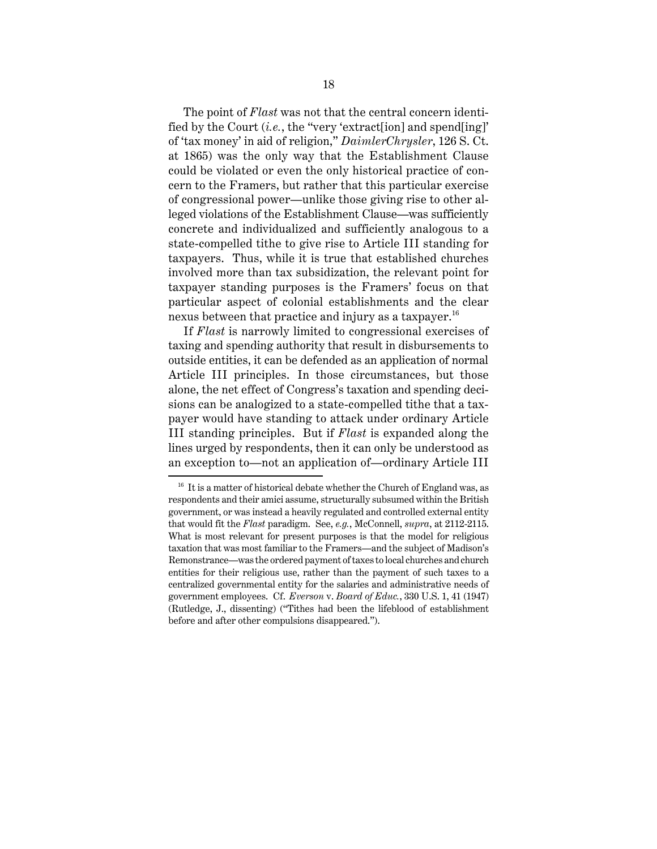The point of *Flast* was not that the central concern identified by the Court (*i.e.*, the "very 'extract[ion] and spend[ing]' of 'tax money' in aid of religion," *DaimlerChrysler*, 126 S. Ct. at 1865) was the only way that the Establishment Clause could be violated or even the only historical practice of concern to the Framers, but rather that this particular exercise of congressional power—unlike those giving rise to other alleged violations of the Establishment Clause—was sufficiently concrete and individualized and sufficiently analogous to a state-compelled tithe to give rise to Article III standing for taxpayers. Thus, while it is true that established churches involved more than tax subsidization, the relevant point for taxpayer standing purposes is the Framers' focus on that particular aspect of colonial establishments and the clear nexus between that practice and injury as a taxpayer.<sup>16</sup>

If *Flast* is narrowly limited to congressional exercises of taxing and spending authority that result in disbursements to outside entities, it can be defended as an application of normal Article III principles. In those circumstances, but those alone, the net effect of Congress's taxation and spending decisions can be analogized to a state-compelled tithe that a taxpayer would have standing to attack under ordinary Article III standing principles. But if *Flast* is expanded along the lines urged by respondents, then it can only be understood as an exception to—not an application of—ordinary Article III

 $16$  It is a matter of historical debate whether the Church of England was, as respondents and their amici assume, structurally subsumed within the British government, or was instead a heavily regulated and controlled external entity that would fit the *Flast* paradigm. See, *e.g.*, McConnell, *supra*, at 2112-2115. What is most relevant for present purposes is that the model for religious taxation that was most familiar to the Framers—and the subject of Madison's Remonstrance—was the ordered payment of taxes to local churches and church entities for their religious use, rather than the payment of such taxes to a centralized governmental entity for the salaries and administrative needs of government employees. Cf. *Everson* v. *Board of Educ.*, 330 U.S. 1, 41 (1947) (Rutledge, J., dissenting) ("Tithes had been the lifeblood of establishment before and after other compulsions disappeared.").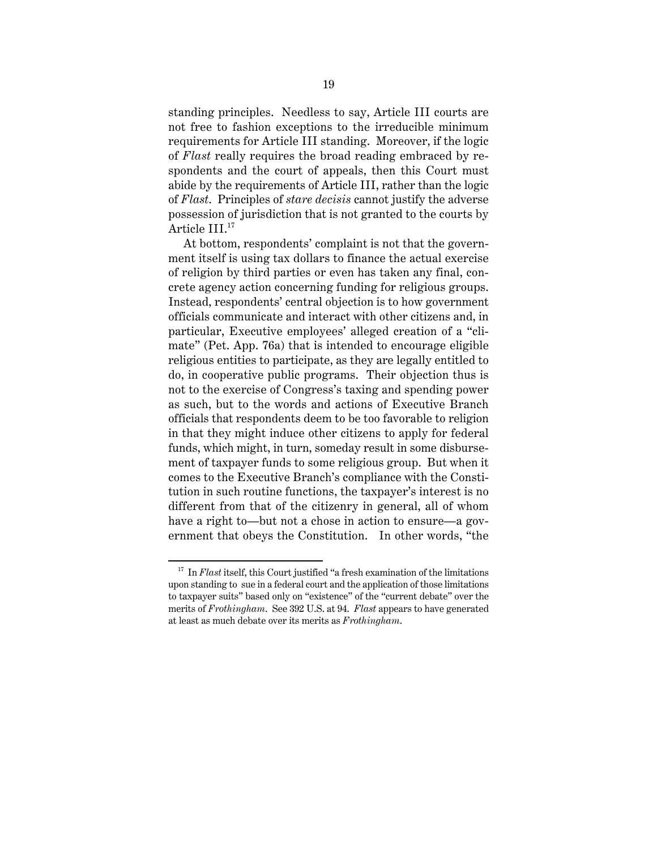standing principles. Needless to say, Article III courts are not free to fashion exceptions to the irreducible minimum requirements for Article III standing. Moreover, if the logic of *Flast* really requires the broad reading embraced by respondents and the court of appeals, then this Court must abide by the requirements of Article III, rather than the logic of *Flast*. Principles of *stare decisis* cannot justify the adverse possession of jurisdiction that is not granted to the courts by Article III.17

At bottom, respondents' complaint is not that the government itself is using tax dollars to finance the actual exercise of religion by third parties or even has taken any final, concrete agency action concerning funding for religious groups. Instead, respondents' central objection is to how government officials communicate and interact with other citizens and, in particular, Executive employees' alleged creation of a "climate" (Pet. App. 76a) that is intended to encourage eligible religious entities to participate, as they are legally entitled to do, in cooperative public programs. Their objection thus is not to the exercise of Congress's taxing and spending power as such, but to the words and actions of Executive Branch officials that respondents deem to be too favorable to religion in that they might induce other citizens to apply for federal funds, which might, in turn, someday result in some disbursement of taxpayer funds to some religious group. But when it comes to the Executive Branch's compliance with the Constitution in such routine functions, the taxpayer's interest is no different from that of the citizenry in general, all of whom have a right to—but not a chose in action to ensure—a government that obeys the Constitution. In other words, "the

<sup>&</sup>lt;sup>17</sup> In *Flast* itself, this Court justified "a fresh examination of the limitations upon standing to sue in a federal court and the application of those limitations to taxpayer suits" based only on "existence" of the "current debate" over the merits of *Frothingham*. See 392 U.S. at 94. *Flast* appears to have generated at least as much debate over its merits as *Frothingham*.